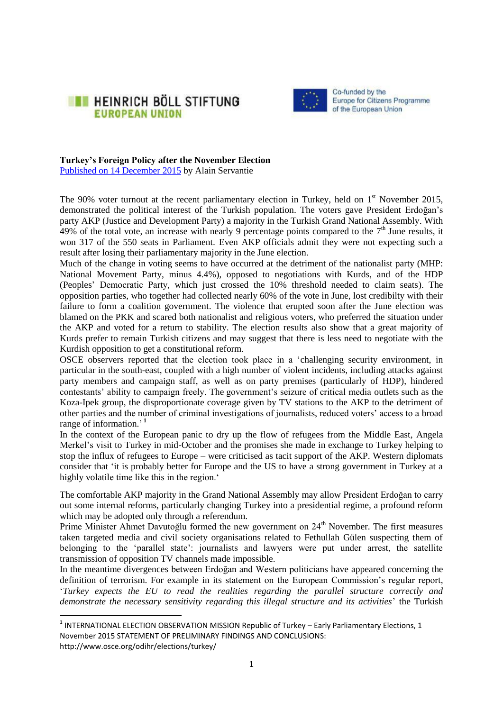



# **Turkey's Foreign Policy after the November Election**

Published on 14 [December](http://eu.boell.org/en/2015/12/14/turkeys-foreign-policy-after-november-election-0) 2015 by Alain Servantie

**.** 

The 90% voter turnout at the recent parliamentary election in Turkey, held on  $1<sup>st</sup>$  November 2015, demonstrated the political interest of the Turkish population. The voters gave President Erdoğan's party AKP (Justice and Development Party) a majority in the Turkish Grand National Assembly. With  $49\%$  of the total vote, an increase with nearly 9 percentage points compared to the  $7<sup>th</sup>$  June results, it won 317 of the 550 seats in Parliament. Even AKP officials admit they were not expecting such a result after losing their parliamentary majority in the June election.

Much of the change in voting seems to have occurred at the detriment of the nationalist party (MHP: National Movement Party, minus 4.4%), opposed to negotiations with Kurds, and of the HDP (Peoples' Democratic Party, which just crossed the 10% threshold needed to claim seats). The opposition parties, who together had collected nearly 60% of the vote in June, lost credibilty with their failure to form a coalition government. The violence that erupted soon after the June election was blamed on the PKK and scared both nationalist and religious voters, who preferred the situation under the AKP and voted for a return to stability. The election results also show that a great majority of Kurds prefer to remain Turkish citizens and may suggest that there is less need to negotiate with the Kurdish opposition to get a constitutional reform.

OSCE observers reported that the election took place in a 'challenging security environment, in particular in the south-east, coupled with a high number of violent incidents, including attacks against party members and campaign staff, as well as on party premises (particularly of HDP), hindered contestants' ability to campaign freely. The [government's seizure of critical media outlets](http://www.theguardian.com/world/2015/oct/28/turkish-police-storm-opposition-media-offices-as-election-looms) such as the Koza-Ipek group, the disproportionate coverage given by TV stations to the AKP to the detriment of other parties and the number of criminal investigations of journalists, reduced voters' access to a broad range of information.' **1**

In the context of the European panic to dry up the flow of refugees from the Middle East, Angela Merkel's visit to Turkey in mid-October and the promises she made in exchange to Turkey helping to stop the influx of refugees to Europe – were criticised as tacit support of the AKP. Western diplomats consider that 'it is probably better for Europe and the US to have a strong government in Turkey at a highly volatile time like this in the region.'

The comfortable AKP majority in the Grand National Assembly may allow President Erdoğan to carry out some internal reforms, particularly changing Turkey into a presidential regime, a profound reform which may be adopted only through a referendum.

Prime Minister Ahmet Davutoğlu formed the new government on 24<sup>th</sup> November. The first measures taken targeted media and civil society organisations related to Fethullah Gülen suspecting them of belonging to the 'parallel state': journalists and lawyers were put under arrest, the satellite transmission of opposition TV channels made impossible.

In the meantime divergences between Erdoğan and Western politicians have appeared concerning the definition of terrorism. For example in its statement on the European Commission's regular report, '*Turkey expects the EU to read the realities regarding the parallel structure correctly and demonstrate the necessary sensitivity regarding this illegal structure and its activities*' the Turkish

 $^1$  INTERNATIONAL ELECTION OBSERVATION MISSION Republic of Turkey – Early Parliamentary Elections, 1 November 2015 STATEMENT OF PRELIMINARY FINDINGS AND CONCLUSIONS: http://www.osce.org/odihr/elections/turkey/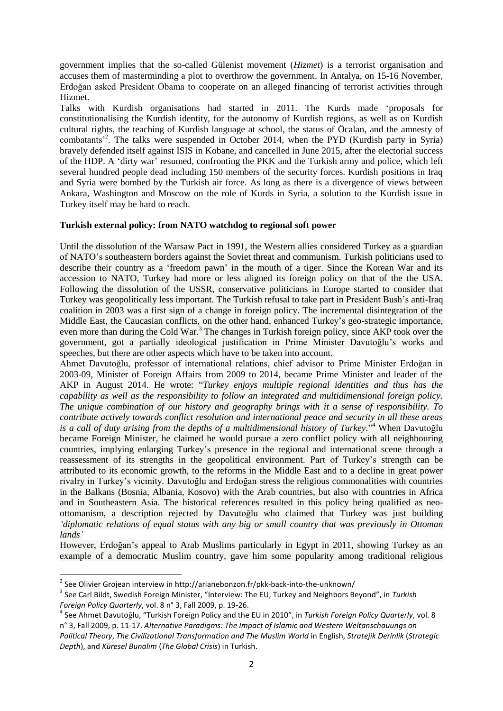government implies that the so-called Gülenist movement (*Hizmet*) is a terrorist organisation and accuses them of masterminding a plot to overthrow the government. In Antalya, on 15-16 November, Erdoğan asked President Obama to cooperate on an alleged financing of terrorist activities through Hizmet.

Talks with Kurdish organisations had started in 2011. The Kurds made 'proposals for constitutionalising the Kurdish identity, for the autonomy of Kurdish regions, as well as on Kurdish cultural rights, the teaching of Kurdish language at school, the status of Öcalan, and the amnesty of combatants<sup>2</sup>. The talks were suspended in October 2014, when the PYD (Kurdish party in Syria) bravely defended itself against ISIS in Kobane, and cancelled in June 2015, after the electorial success of the HDP. A 'dirty war' resumed, confronting the PKK and the Turkish army and police, which left several hundred people dead including 150 members of the security forces. Kurdish positions in Iraq and Syria were bombed by the Turkish air force. As long as there is a divergence of views between Ankara, Washington and Moscow on the role of Kurds in Syria, a solution to the Kurdish issue in Turkey itself may be hard to reach.

## **Turkish external policy: from NATO watchdog to regional soft power**

Until the dissolution of the Warsaw Pact in 1991, the Western allies considered Turkey as a guardian of NATO's southeastern borders against the Soviet threat and communism. Turkish politicians used to describe their country as a 'freedom pawn' in the mouth of a tiger. Since the Korean War and its accession to NATO, Turkey had more or less aligned its foreign policy on that of the the USA. Following the dissolution of the USSR, conservative politicians in Europe started to consider that Turkey was geopolitically less important. The Turkish refusal to take part in President Bush's anti-Iraq coalition in 2003 was a first sign of a change in foreign policy. The incremental disintegration of the Middle East, the Caucasian conflicts, on the other hand, enhanced Turkey's geo-strategic importance, even more than during the Cold War.<sup>3</sup> The changes in Turkish foreign policy, since AKP took over the government, got a partially ideological justification in Prime Minister Davutoğlu's works and speeches, but there are other aspects which have to be taken into account.

Ahmet Davutoğlu, professor of international relations, chief advisor to Prime Minister Erdoğan in 2003-09, Minister of Foreign Affairs from 2009 to 2014, became Prime Minister and leader of the AKP in August 2014. He wrote: "*Turkey enjoys multiple regional identities and thus has the capability as well as the responsibility to follow an integrated and multidimensional foreign policy. The unique combination of our history and geography brings with it a sense of responsibility. To contribute actively towards conflict resolution and international peace and security in all these areas is a call of duty arising from the depths of a multidimensional history of Turkey.*" <sup>4</sup> When Davutoğlu became Foreign Minister, he claimed he would pursue a zero conflict policy with all neighbouring countries, implying enlarging Turkey's presence in the regional and international scene through a reassessment of its strengths in the geopolitical environment. Part of Turkey's strength can be attributed to its economic growth, to the reforms in the Middle East and to a decline in great power rivalry in Turkey's vicinity. Davutoğlu and Erdoğan stress the religious commonalities with countries in the Balkans (Bosnia, Albania, Kosovo) with the Arab countries, but also with countries in Africa and in Southeastern Asia. The historical references resulted in this policy being qualified as neoottomanism, a description rejected by Davutoğlu who claimed that Turkey was just building *'diplomatic relations of equal status with any big or small country that was previously in Ottoman lands'*

However, Erdoğan's appeal to Arab Muslims particularly in Egypt in 2011, showing Turkey as an example of a democratic Muslim country, gave him some popularity among traditional religious

 2 See Olivier Grojean interview in http://arianebonzon.fr/pkk-back-into-the-unknown/

<sup>3</sup> See Carl Bildt, Swedish Foreign Minister, "Interview: The EU, Turkey and Neighbors Beyond", in *Turkish Foreign Policy Quarterly*, vol. 8 n° 3, Fall 2009, p. 19-26.

<sup>4</sup> See Ahmet Davutoğlu, "Turkish Foreign Policy and the EU in 2010", in *Turkish Foreign Policy Quarterly*, vol. 8 n° 3, Fall 2009, p. 11-17. *Alternative Paradigms: The Impact of Islamic and Western Weltanschauungs on Political Theory*, *The Civilizational Transformation and The Muslim World* in English, *Stratejik Derinlik* (*Strategic Depth*), and *Küresel Bunalım* (*The Global Crisis*) in Turkish.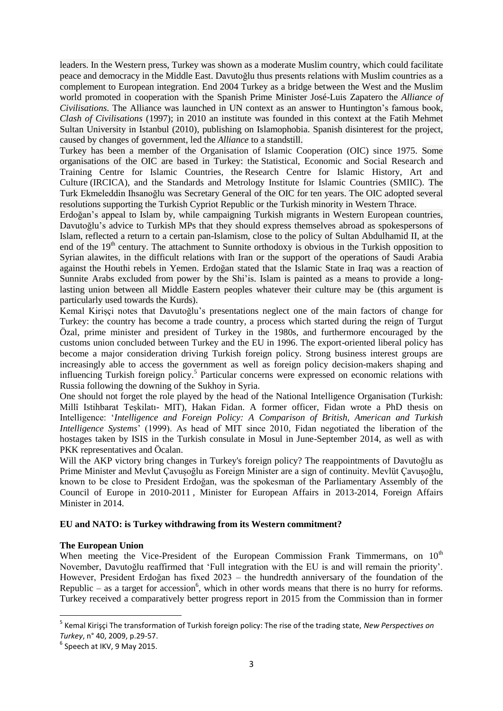leaders. In the Western press, Turkey was shown as a moderate Muslim country, which could facilitate peace and democracy in the Middle East. Davutoğlu thus presents relations with Muslim countries as a complement to European integration. End 2004 Turkey as a bridge between the West and the Muslim world promoted in cooperation with the Spanish Prime Minister José-Luis Zapatero the *Alliance of Civilisations*. The Alliance was launched in UN context as an answer to Huntington's famous book, *Clash of Civilisations* (1997); in 2010 an institute was founded in this context at the Fatih Mehmet Sultan University in Istanbul (2010), publishing on Islamophobia. Spanish disinterest for the project, caused by changes of government, led the *Alliance* to a standstill.

Turkey has been a member of the Organisation of Islamic Cooperation (OIC) since 1975. Some organisations of the OIC are based in Turkey: the [Statistical, Economic and Social Research](https://en.wikipedia.org/wiki/Statistical,_Economic_and_Social_Research_and_Training_Centre_for_Islamic_Countries) and [Training Centre for Islamic Countries,](https://en.wikipedia.org/wiki/Statistical,_Economic_and_Social_Research_and_Training_Centre_for_Islamic_Countries) the [Research Centre for Islamic History, Art and](https://en.wikipedia.org/w/index.php?title=Research_Centre_for_Islamic_History,_Art_and_Culture&action=edit&redlink=1)  [Culture](https://en.wikipedia.org/w/index.php?title=Research_Centre_for_Islamic_History,_Art_and_Culture&action=edit&redlink=1) (IRCICA), and the Standards and Metrology Institute for Islamic Countries (SMIIC). The Turk Ekmeleddin Ihsanoğlu was Secretary General of the OIC for ten years. The OIC adopted several resolutions supporting the Turkish Cypriot Republic or the Turkish minority in Western Thrace.

Erdoğan's appeal to Islam by, while campaigning Turkish migrants in Western European countries, Davutoğlu's advice to Turkish MPs that they should express themselves abroad as spokespersons of Islam, reflected a return to a certain pan-Islamism, close to the policy of Sultan Abdulhamid II, at the end of the 19<sup>th</sup> century. The attachment to Sunnite orthodoxy is obvious in the Turkish opposition to Syrian alawites, in the difficult relations with Iran or the support of the operations of Saudi Arabia against the Houthi rebels in Yemen. Erdoğan stated that the Islamic State in Iraq was a reaction of Sunnite Arabs excluded from power by the Shi'is. Islam is painted as a means to provide a longlasting union between all Middle Eastern peoples whatever their culture may be (this argument is particularly used towards the Kurds).

Kemal Kirișçi notes that Davutoğlu's presentations neglect one of the main factors of change for Turkey: the country has become a trade country, a process which started during the reign of Turgut Özal, prime minister and president of Turkey in the 1980s, and furthermore encouraged by the customs union concluded between Turkey and the EU in 1996. The export-oriented liberal policy has become a major consideration driving Turkish foreign policy. Strong business interest groups are increasingly able to access the government as well as foreign policy decision-makers shaping and influencing Turkish foreign policy.<sup>5</sup> Particular concerns were expressed on economic relations with Russia following the downing of the Sukhoy in Syria.

One should not forget the role played by the head of the National Intelligence Organisation (Turkish: Millî Istihbarat Teșkilatı- MIT), Hakan Fidan. A former officer, Fidan wrote a PhD thesis on Intelligence: '*Intelligence and Foreign Policy: A Comparison of British, American and Turkish Intelligence Systems*' (1999). As head of MIT since 2010, Fidan negotiated the liberation of the hostages taken by ISIS in the Turkish consulate in Mosul in June-September 2014, as well as with PKK representatives and Öcalan.

Will the AKP victory bring changes in Turkey's foreign policy? The reappointments of Davutoğlu as Prime Minister and Mevlut Çavușoğlu as Foreign Minister are a sign of continuity. Mevlüt Çavuşoğlu, known to be close to President Erdoğan, was the spokesman of the Parliamentary Assembly of the Council of Europe in 2010-2011 , Minister for European Affairs in 2013-2014, Foreign Affairs Minister in 2014.

## **EU and NATO: is Turkey withdrawing from its Western commitment?**

## **The European Union**

When meeting the Vice-President of the European Commission Frank Timmermans, on  $10<sup>th</sup>$ November, Davutoğlu reaffirmed that 'Full integration with the EU is and will remain the priority'. However, President Erdoğan has fixed 2023 – the hundredth anniversary of the foundation of the Republic – as a target for accession<sup>6</sup>, which in other words means that there is no hurry for reforms. Turkey received a comparatively better progress report in 2015 from the Commission than in former

**.** 

<sup>5</sup> Kemal Kirişçi The transformation of Turkish foreign policy: The rise of the trading state, *New Perspectives on Turkey*, n° 40, 2009, p.29-57.

<sup>&</sup>lt;sup>6</sup> Speech at IKV, 9 May 2015.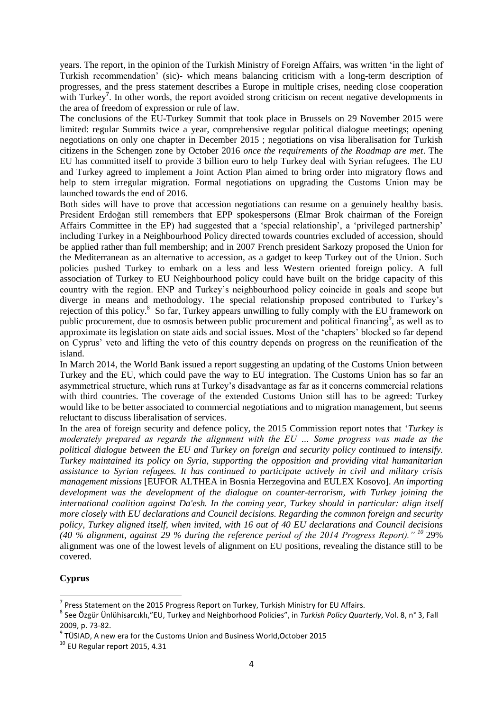years. The report, in the opinion of the Turkish Ministry of Foreign Affairs, was written 'in the light of Turkish recommendation' (sic)- which means balancing criticism with a long-term description of progresses, and the press statement describes a Europe in multiple crises, needing close cooperation with Turkey<sup>7</sup>. In other words, the report avoided strong criticism on recent negative developments in the area of freedom of expression or rule of law.

The conclusions of the EU-Turkey Summit that took place in Brussels on 29 November 2015 were limited: regular Summits twice a year, comprehensive regular political dialogue meetings; opening negotiations on only one chapter in December 2015 ; negotiations on visa liberalisation for Turkish citizens in the Schengen zone by October 2016 *once the requirements of the Roadmap are met*. The EU has committed itself to provide 3 billion euro to help Turkey deal with Syrian refugees. The EU and Turkey agreed to implement a Joint Action Plan aimed to bring order into migratory flows and help to stem irregular migration. Formal negotiations on upgrading the Customs Union may be launched towards the end of 2016.

Both sides will have to prove that accession negotiations can resume on a genuinely healthy basis. President Erdoğan still remembers that EPP spokespersons (Elmar Brok chairman of the Foreign Affairs Committee in the EP) had suggested that a 'special relationship', a 'privileged partnership' including Turkey in a Neighbourhood Policy directed towards countries excluded of accession, should be applied rather than full membership; and in 2007 French president Sarkozy proposed the Union for the Mediterranean as an alternative to accession, as a gadget to keep Turkey out of the Union. Such policies pushed Turkey to embark on a less and less Western oriented foreign policy. A full association of Turkey to EU Neighbourhood policy could have built on the bridge capacity of this country with the region. ENP and Turkey's neighbourhood policy coincide in goals and scope but diverge in means and methodology. The special relationship proposed contributed to Turkey's rejection of this policy.<sup>8</sup> So far, Turkey appears unwilling to fully comply with the EU framework on public procurement, due to osmosis between public procurement and political financing<sup>9</sup>, as well as to approximate its legislation on state aids and social issues. Most of the 'chapters' blocked so far depend on Cyprus' veto and lifting the veto of this country depends on progress on the reunification of the island.

In March 2014, the World Bank issued a report suggesting an updating of the Customs Union between Turkey and the EU, which could pave the way to EU integration. The Customs Union has so far an asymmetrical structure, which runs at Turkey's disadvantage as far as it concerns commercial relations with third countries. The coverage of the extended Customs Union still has to be agreed: Turkey would like to be better associated to commercial negotiations and to migration management, but seems reluctant to discuss liberalisation of services.

In the area of foreign security and defence policy, the 2015 Commission report notes that '*Turkey is moderately prepared as regards the alignment with the EU … Some progress was made as the political dialogue between the EU and Turkey on foreign and security policy continued to intensify. Turkey maintained its policy on Syria, supporting the opposition and providing vital humanitarian assistance to Syrian refugees. It has continued to participate actively in civil and military crisis management missions* [EUFOR ALTHEA in Bosnia Herzegovina and EULEX Kosovo]*. An importing development was the development of the dialogue on counter-terrorism, with Turkey joining the international coalition against Da'esh. In the coming year, Turkey should in particular: align itself more closely with EU declarations and Council decisions. Regarding the common foreign and security policy, Turkey aligned itself, when invited, with 16 out of 40 EU declarations and Council decisions (40 % alignment, against 29 % during the reference period of the 2014 Progress Report)." <sup>10</sup>* 29% alignment was one of the lowest levels of alignment on EU positions, revealing the distance still to be covered.

# **Cyprus**

**.** 

 $^7$  Press Statement on the 2015 Progress Report on Turkey, Turkish Ministry for EU Affairs.

<sup>8</sup> See Özgür Ünlühisarcıklı,"EU, Turkey and Neighborhood Policies", in *Turkish Policy Quarterly*, Vol. 8, n° 3, Fall 2009, p. 73-82.

 $^9$  TÜSIAD, A new era for the Customs Union and Business World, October 2015

<sup>10</sup> EU Regular report 2015, 4.31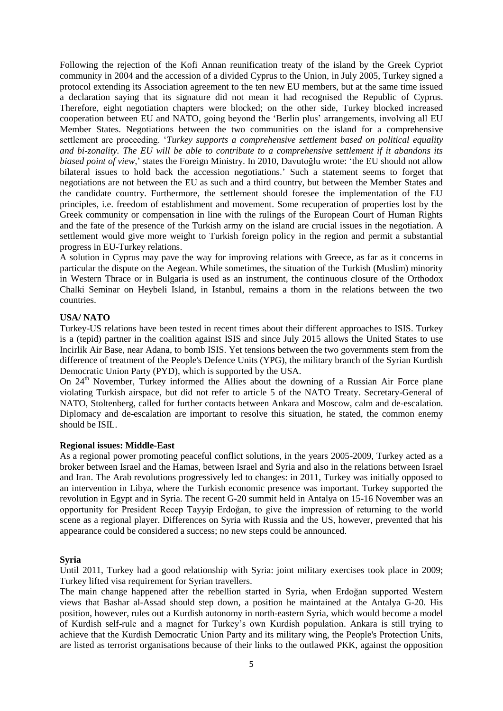Following the rejection of the Kofi Annan reunification treaty of the island by the Greek Cypriot community in 2004 and the accession of a divided Cyprus to the Union, in July 2005, Turkey signed a protocol extending its Association agreement to the ten new EU members, but at the same time issued a declaration saying that its signature did not mean it had recognised the Republic of Cyprus. Therefore, eight negotiation chapters were blocked; on the other side, Turkey blocked increased cooperation between EU and NATO, going beyond the 'Berlin plus' arrangements, involving all EU Member States. Negotiations between the two communities on the island for a comprehensive settlement are proceeding. '*Turkey supports a comprehensive settlement based on political equality and bi-zonality. The EU will be able to contribute to a comprehensive settlement if it abandons its biased point of view*,' states the Foreign Ministry. In 2010, Davutoğlu wrote: 'the EU should not allow bilateral issues to hold back the accession negotiations.' Such a statement seems to forget that negotiations are not between the EU as such and a third country, but between the Member States and the candidate country. Furthermore, the settlement should foresee the implementation of the EU principles, i.e. freedom of establishment and movement. Some recuperation of properties lost by the Greek community or compensation in line with the rulings of the European Court of Human Rights and the fate of the presence of the Turkish army on the island are crucial issues in the negotiation. A settlement would give more weight to Turkish foreign policy in the region and permit a substantial progress in EU-Turkey relations.

A solution in Cyprus may pave the way for improving relations with Greece, as far as it concerns in particular the dispute on the Aegean. While sometimes, the situation of the Turkish (Muslim) minority in Western Thrace or in Bulgaria is used as an instrument, the continuous closure of the Orthodox Chalki Seminar on Heybeli Island, in Istanbul, remains a thorn in the relations between the two countries.

## **USA/ NATO**

Turkey-US relations have been tested in recent times about their different approaches to ISIS. Turkey is a (tepid) partner in the coalition against ISIS and since July 2015 allows the United States to use Incirlik Air Base, near Adana, to bomb ISIS. Yet tensions between the two governments stem from the difference of treatment of the People's Defence Units (YPG), the military branch of the Syrian Kurdish Democratic Union Party (PYD), which is supported by the USA.

On  $24<sup>th</sup>$  November, Turkey informed the Allies about the downing of a Russian Air Force plane violating Turkish airspace, but did not refer to article 5 of the NATO Treaty. Secretary-General of NATO, Stoltenberg, called for further contacts between Ankara and Moscow, calm and de-escalation. Diplomacy and de-escalation are important to resolve this situation, he stated, the common enemy should be ISIL.

## **Regional issues: Middle-East**

As a regional power promoting peaceful conflict solutions, in the years 2005-2009, Turkey acted as a broker between Israel and the Hamas, between Israel and Syria and also in the relations between Israel and Iran. The Arab revolutions progressively led to changes: in 2011, Turkey was initially opposed to an intervention in Libya, where the Turkish economic presence was important. Turkey supported the revolution in Egypt and in Syria. The recent G-20 summit held in Antalya on 15-16 November was an opportunity for President Recep Tayyip Erdoğan, to give the impression of returning to the world scene as a regional player. Differences on Syria with Russia and the US, however, prevented that his appearance could be considered a success; no new steps could be announced.

## **Syria**

Until 2011, Turkey had a good relationship with Syria: joint military exercises took place in 2009; Turkey lifted visa requirement for Syrian travellers.

The main change happened after the rebellion started in Syria, when Erdoğan supported Western views that Bashar al-Assad should step down, a position he maintained at the Antalya G-20. His position, however, rules out a Kurdish autonomy in north-eastern Syria, which would become a model of Kurdish self-rule and a magnet for Turkey's own Kurdish population. Ankara is still trying to achieve that the Kurdish Democratic Union Party and its military wing, the People's Protection Units, are listed as terrorist organisations because of their links to the outlawed PKK, against the opposition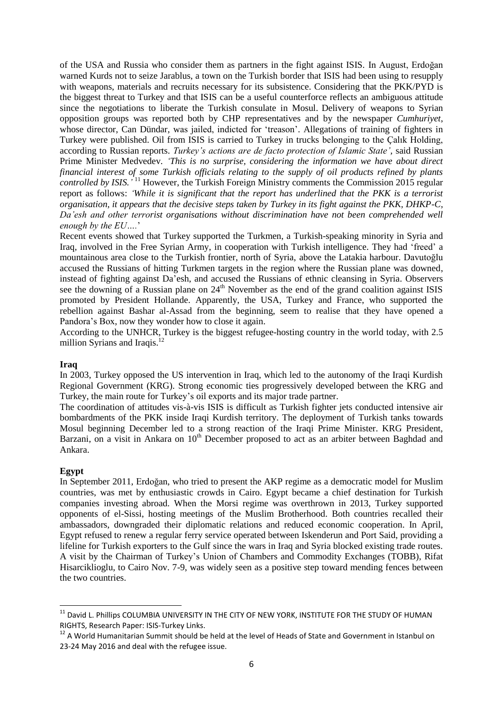of the USA and Russia who consider them as partners in the fight against ISIS. In August, Erdoğan warned Kurds not to seize Jarablus, a town on the Turkish border that ISIS had been using to resupply with weapons, materials and recruits necessary for its subsistence. Considering that the PKK/PYD is the biggest threat to Turkey and that ISIS can be a useful counterforce reflects an ambiguous attitude since the negotiations to liberate the Turkish consulate in Mosul. Delivery of weapons to Syrian opposition groups was reported both by CHP representatives and by the newspaper *Cumhuriyet*, whose director, Can Dündar, was jailed, indicted for 'treason'. Allegations of training of fighters in Turkey were published. Oil from ISIS is carried to Turkey in trucks belonging to the Çalık Holding, according to Russian reports. *Turkey's actions are de facto protection of Islamic State',* said Russian Prime Minister Medvedev. *'This is no surprise, considering the information we have about direct financial interest of some Turkish officials relating to the supply of oil products refined by plants controlled by ISIS.'* <sup>11</sup> However, the Turkish Foreign Ministry comments the Commission 2015 regular report as follows: *'While it is significant that the report has underlined that the PKK is a terrorist organisation, it appears that the decisive steps taken by Turkey in its fight against the PKK, DHKP-C, Da'esh and other terrorist organisations without discrimination have not been comprehended well enough by the EU….*'

Recent events showed that Turkey supported the Turkmen, a Turkish-speaking minority in Syria and Iraq, involved in the Free Syrian Army, in cooperation with Turkish intelligence. They had 'freed' a mountainous area close to the Turkish frontier, north of Syria, above the Latakia harbour. Davutoğlu accused the Russians of hitting Turkmen targets in the region where the Russian plane was downed, instead of fighting against Da'esh, and accused the Russians of ethnic cleansing in Syria. Observers see the downing of a Russian plane on 24<sup>th</sup> November as the end of the grand coalition against ISIS promoted by President Hollande. Apparently, the USA, Turkey and France, who supported the rebellion against Bashar al-Assad from the beginning, seem to realise that they have opened a Pandora's Box, now they wonder how to close it again.

According to the UNHCR, Turkey is the biggest refugee-hosting country in the world today, with 2.5 million Syrians and Iraqis.<sup>12</sup>

## **Iraq**

In 2003, Turkey opposed the US intervention in Iraq, which led to the autonomy of the Iraqi Kurdish Regional Government (KRG). Strong economic ties progressively developed between the KRG and Turkey, the main route for Turkey's oil exports and its major trade partner.

The coordination of attitudes vis-à-vis ISIS is difficult as Turkish fighter jets conducted intensive air bombardments of the PKK inside Iraqi Kurdish territory. The deployment of Turkish tanks towards Mosul beginning December led to a strong reaction of the Iraqi Prime Minister. KRG President, Barzani, on a visit in Ankara on  $10<sup>th</sup>$  December proposed to act as an arbiter between Baghdad and Ankara.

## **Egypt**

1

In September 2011, Erdoğan, who tried to present the AKP regime as a democratic model for Muslim countries, was met by enthusiastic crowds in Cairo. Egypt became a chief destination for Turkish companies investing abroad. When the Morsi regime was overthrown in 2013, Turkey supported opponents of el-Sissi, hosting meetings of the Muslim Brotherhood. Both countries recalled their ambassadors, downgraded their diplomatic relations and reduced economic cooperation. In April, Egypt refused to renew a regular ferry service operated between Iskenderun and Port Said, providing a lifeline for Turkish exporters to the Gulf since the wars in Iraq and Syria blocked existing trade routes. A visit by the Chairman of Turkey's Union of Chambers and Commodity Exchanges (TOBB), Rifat Hisarciklioglu, to Cairo Nov. 7-9, was widely seen as a positive step toward mending fences between the two countries.

 $^{\rm 11}$  David L. Phillips COLUMBIA UNIVERSITY IN THE CITY OF NEW YORK, INSTITUTE FOR THE STUDY OF HUMAN RIGHTS, Research Paper: ISIS-Turkey Links.

<sup>&</sup>lt;sup>12</sup> A World Humanitarian Summit should be held at the level of Heads of State and Government in Istanbul on 23-24 May 2016 and deal with the refugee issue.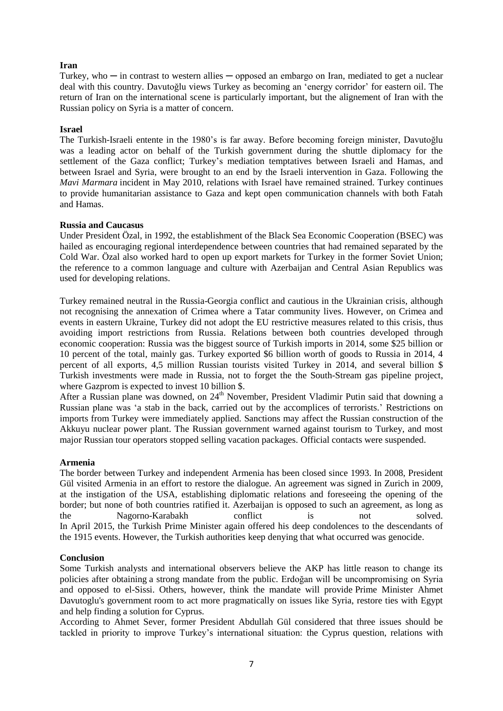## **Iran**

Turkey, who  $-$  in contrast to western allies  $-$  opposed an embargo on Iran, mediated to get a nuclear deal with this country. Davutoğlu views Turkey as becoming an 'energy corridor' for eastern oil. The return of Iran on the international scene is particularly important, but the alignement of Iran with the Russian policy on Syria is a matter of concern.

#### **Israel**

The Turkish-Israeli entente in the 1980's is far away. Before becoming foreign minister, Davutoğlu was a leading actor on behalf of the Turkish government during the shuttle diplomacy for the settlement of the Gaza conflict; Turkey's mediation temptatives between Israeli and Hamas, and between Israel and Syria, were brought to an end by the Israeli intervention in Gaza. Following the *Mavi Marmara* incident in May 2010, relations with Israel have remained strained. Turkey continues to provide humanitarian assistance to Gaza and kept open communication channels with both Fatah and Hamas.

#### **Russia and Caucasus**

Under President Özal, in 1992, the establishment of the Black Sea Economic Cooperation (BSEC) was hailed as encouraging regional interdependence between countries that had remained separated by the Cold War. Özal also worked hard to open up export markets for Turkey in the former Soviet Union; the reference to a common language and culture with Azerbaijan and Central Asian Republics was used for developing relations.

Turkey remained neutral in the Russia-Georgia conflict and cautious in the Ukrainian crisis, although not recognising the annexation of Crimea where a Tatar community lives. However, on Crimea and events in eastern Ukraine, Turkey did not adopt the EU restrictive measures related to this crisis, thus avoiding import restrictions from Russia. Relations between both countries developed through economic cooperation: Russia was the biggest source of Turkish imports in 2014, some \$25 billion or 10 percent of the total, mainly gas. Turkey exported \$6 billion worth of goods to Russia in 2014, 4 percent of all exports, 4,5 million Russian tourists visited Turkey in 2014, and several billion \$ Turkish investments were made in Russia, not to forget the the South-Stream gas pipeline project, where Gazprom is expected to invest 10 billion \$.

After a Russian plane was downed, on  $24<sup>th</sup>$  November, President Vladimir Putin said that downing a Russian plane was 'a stab in the back, carried out by the accomplices of terrorists.' Restrictions on imports from Turkey were immediately applied. Sanctions may affect the Russian construction of the Akkuyu nuclear power plant. The Russian government warned against tourism to Turkey, and most major Russian tour operators stopped selling vacation packages. Official contacts were suspended.

## **Armenia**

The border between Turkey and independent Armenia has been closed since 1993. In 2008, President Gül visited Armenia in an effort to restore the dialogue. An agreement was signed in Zurich in 2009, at the instigation of the USA, establishing diplomatic relations and foreseeing the opening of the border; but none of both countries ratified it. Azerbaijan is opposed to such an agreement, as long as the Nagorno-Karabakh conflict is not solved. In April 2015, the Turkish Prime Minister again offered his deep condolences to the descendants of the 1915 events. However, the Turkish authorities keep denying that what occurred was genocide.

## **Conclusion**

Some Turkish analysts and international observers believe the AKP has little reason to change its policies after obtaining a strong mandate from the public. Erdoğan will be uncompromising on Syria and opposed to el-Sissi. Others, however, think the mandate will provide Prime Minister Ahmet Davutoglu's government room to act more pragmatically on issues like Syria, restore ties with Egypt and help finding a solution for Cyprus.

According to Ahmet Sever, former President Abdullah Gül considered that three issues should be tackled in priority to improve Turkey's international situation: the Cyprus question, relations with